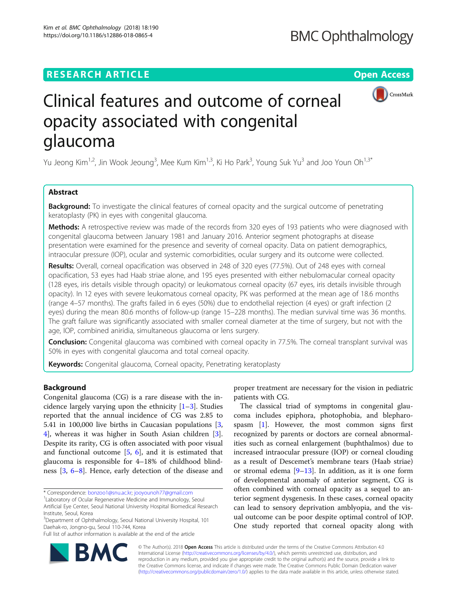Kim et al. BMC Ophthalmology (2018) 18:190 https://doi.org/10.1186/s12886-018-0865-4

# **RESEARCH ARTICLE Example 2014 12:30 The Contract of Contract ACCESS**



# Clinical features and outcome of corneal opacity associated with congenital glaucoma

Yu Jeong Kim<sup>1,2</sup>, Jin Wook Jeoung<sup>3</sup>, Mee Kum Kim<sup>1,3</sup>, Ki Ho Park<sup>3</sup>, Young Suk Yu<sup>3</sup> and Joo Youn Oh<sup>1,3\*</sup>

## Abstract

**Background:** To investigate the clinical features of corneal opacity and the surgical outcome of penetrating keratoplasty (PK) in eyes with congenital glaucoma.

Methods: A retrospective review was made of the records from 320 eyes of 193 patients who were diagnosed with congenital glaucoma between January 1981 and January 2016. Anterior segment photographs at disease presentation were examined for the presence and severity of corneal opacity. Data on patient demographics, intraocular pressure (IOP), ocular and systemic comorbidities, ocular surgery and its outcome were collected.

Results: Overall, corneal opacification was observed in 248 of 320 eyes (77.5%). Out of 248 eyes with corneal opacification, 53 eyes had Haab striae alone, and 195 eyes presented with either nebulomacular corneal opacity (128 eyes, iris details visible through opacity) or leukomatous corneal opacity (67 eyes, iris details invisible through opacity). In 12 eyes with severe leukomatous corneal opacity, PK was performed at the mean age of 18.6 months (range 4–57 months). The grafts failed in 6 eyes (50%) due to endothelial rejection (4 eyes) or graft infection (2 eyes) during the mean 80.6 months of follow-up (range 15–228 months). The median survival time was 36 months. The graft failure was significantly associated with smaller corneal diameter at the time of surgery, but not with the age, IOP, combined aniridia, simultaneous glaucoma or lens surgery.

**Conclusion:** Congenital glaucoma was combined with corneal opacity in 77.5%. The corneal transplant survival was 50% in eyes with congenital glaucoma and total corneal opacity.

Keywords: Congenital glaucoma, Corneal opacity, Penetrating keratoplasty

## Background

Congenital glaucoma (CG) is a rare disease with the incidence largely varying upon the ethnicity  $[1-3]$  $[1-3]$  $[1-3]$  $[1-3]$  $[1-3]$ . Studies reported that the annual incidence of CG was 2.85 to 5.41 in 100,000 live births in Caucasian populations [\[3](#page-5-0), [4\]](#page-5-0), whereas it was higher in South Asian children [\[3](#page-5-0)]. Despite its rarity, CG is often associated with poor visual and functional outcome [[5,](#page-5-0) [6](#page-5-0)], and it is estimated that glaucoma is responsible for 4–18% of childhood blindness [\[3](#page-5-0), [6](#page-5-0)–[8\]](#page-5-0). Hence, early detection of the disease and

\* Correspondence: [bonzoo1@snu.ac.kr;](mailto:bonzoo1@snu.ac.kr) [jooyounoh77@gmail.com](mailto:jooyounoh77@gmail.com) <sup>1</sup>

Full list of author information is available at the end of the article



The classical triad of symptoms in congenital glaucoma includes epiphora, photophobia, and blepharospasm [[1\]](#page-5-0). However, the most common signs first recognized by parents or doctors are corneal abnormalities such as corneal enlargement (buphthalmos) due to increased intraocular pressure (IOP) or corneal clouding as a result of Descemet's membrane tears (Haab striae) or stromal edema  $[9-13]$  $[9-13]$  $[9-13]$  $[9-13]$  $[9-13]$ . In addition, as it is one form of developmental anomaly of anterior segment, CG is often combined with corneal opacity as a sequel to anterior segment dysgenesis. In these cases, corneal opacity can lead to sensory deprivation amblyopia, and the visual outcome can be poor despite optimal control of IOP. One study reported that corneal opacity along with



© The Author(s). 2018 Open Access This article is distributed under the terms of the Creative Commons Attribution 4.0 International License [\(http://creativecommons.org/licenses/by/4.0/](http://creativecommons.org/licenses/by/4.0/)), which permits unrestricted use, distribution, and reproduction in any medium, provided you give appropriate credit to the original author(s) and the source, provide a link to the Creative Commons license, and indicate if changes were made. The Creative Commons Public Domain Dedication waiver [\(http://creativecommons.org/publicdomain/zero/1.0/](http://creativecommons.org/publicdomain/zero/1.0/)) applies to the data made available in this article, unless otherwise stated.

<sup>&</sup>lt;sup>1</sup> Laboratory of Ocular Regenerative Medicine and Immunology, Seoul Artificial Eye Center, Seoul National University Hospital Biomedical Research

Institute, Seoul, Korea

<sup>&</sup>lt;sup>3</sup>Department of Ophthalmology, Seoul National University Hospital, 101 Daehak-ro, Jongno-gu, Seoul 110-744, Korea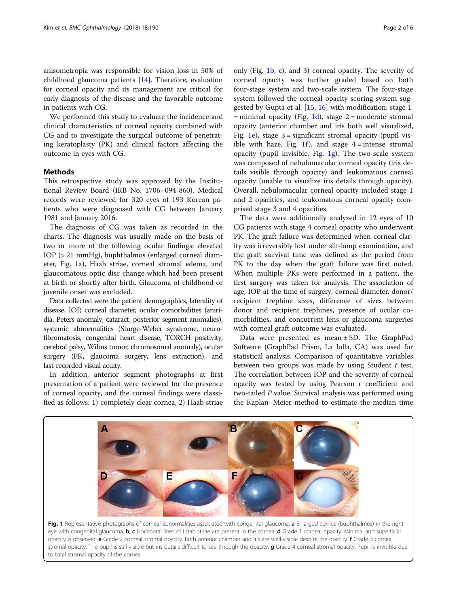<span id="page-1-0"></span>anisometropia was responsible for vision loss in 50% of childhood glaucoma patients [\[14](#page-5-0)]. Therefore, evaluation for corneal opacity and its management are critical for early diagnosis of the disease and the favorable outcome in patients with CG.

We performed this study to evaluate the incidence and clinical characteristics of corneal opacity combined with CG and to investigate the surgical outcome of penetrating keratoplasty (PK) and clinical factors affecting the outcome in eyes with CG.

## Methods

This retrospective study was approved by the Institutional Review Board (IRB No. 1706–094-860). Medical records were reviewed for 320 eyes of 193 Korean patients who were diagnosed with CG between January 1981 and January 2016.

The diagnosis of CG was taken as recorded in the charts. The diagnosis was usually made on the basis of two or more of the following ocular findings: elevated IOP (> 21 mmHg), buphthalmos (enlarged corneal diameter, Fig. 1a), Haab striae, corneal stromal edema, and glaucomatous optic disc change which had been present at birth or shortly after birth. Glaucoma of childhood or juvenile onset was excluded.

Data collected were the patient demographics, laterality of disease, IOP, corneal diameter, ocular comorbidities (aniridia, Peters anomaly, cataract, posterior segment anomalies), systemic abnormalities (Sturge-Weber syndrome, neurofibromatosis, congenital heart disease, TORCH positivity, cerebral palsy, Wilms tumor, chromosomal anomaly), ocular surgery (PK, glaucoma surgery, lens extraction), and last-recorded visual acuity.

In addition, anterior segment photographs at first presentation of a patient were reviewed for the presence of corneal opacity, and the corneal findings were classified as follows: 1) completely clear cornea, 2) Haab striae only (Fig. 1b, c), and 3) corneal opacity. The severity of corneal opacity was further graded based on both four-stage system and two-scale system. The four-stage system followed the corneal opacity scoring system suggested by Gupta et al. [[15,](#page-5-0) [16\]](#page-5-0) with modification: stage 1  $=$  minimal opacity (Fig. 1d), stage 2 = moderate stromal opacity (anterior chamber and iris both well visualized, Fig. 1e), stage  $3 =$  significant stromal opacity (pupil visible with haze, Fig. 1f), and stage  $4 =$  intense stromal opacity (pupil invisible, Fig.  $1g$ ). The two-scale system was composed of nebulomacular corneal opacity (iris details visible through opacity) and leukomatous corneal opacity (unable to visualize iris details through opacity). Overall, nebulomacular corneal opacity included stage 1 and 2 opacities, and leukomatous corneal opacity comprised stage 3 and 4 opacities.

The data were additionally analyzed in 12 eyes of 10 CG patients with stage 4 corneal opacity who underwent PK. The graft failure was determined when corneal clarity was irreversibly lost under slit-lamp examination, and the graft survival time was defined as the period from PK to the day when the graft failure was first noted. When multiple PKs were performed in a patient, the first surgery was taken for analysis. The association of age, IOP at the time of surgery, corneal diameter, donor/ recipient trephine sizes, difference of sizes between donor and recipient trephines, presence of ocular comorbidities, and concurrent lens or glaucoma surgeries with corneal graft outcome was evaluated.

Data were presented as mean ± SD. The GraphPad Software (GraphPad Prism, La Jolla, CA) was used for statistical analysis. Comparison of quantitative variables between two groups was made by using Student  $t$  test. The correlation between IOP and the severity of corneal opacity was tested by using Pearson r coefficient and two-tailed P value. Survival analysis was performed using the Kaplan–Meier method to estimate the median time



Fig. 1 Representative photographs of corneal abnormalities associated with congenital glaucoma. a Enlarged cornea (buphthalmos) in the right eye with congenital glaucoma. b, c Horizontal lines of Haab striae are present in the cornea. d Grade 1 corneal opacity. Minimal and superficial opacity is observed. e Grade 2 corneal stromal opacity. Both anterior chamber and iris are well-visible despite the opacity. f Grade 3 corneal stromal opacity. The pupil is still visible but iris details difficult to see through the opacity. g Grade 4 corneal stromal opacity. Pupil is invisible due to total stromal opacity of the cornea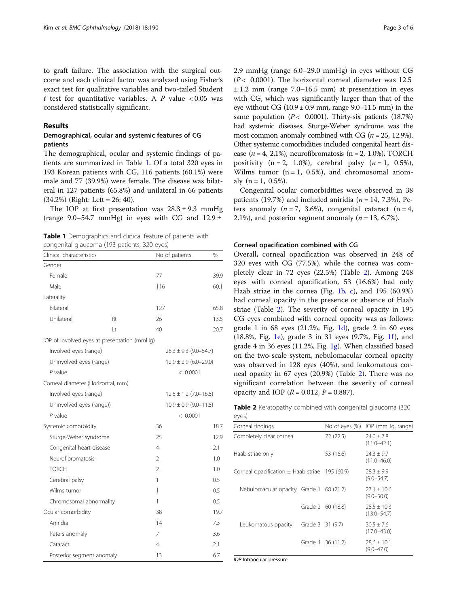to graft failure. The association with the surgical outcome and each clinical factor was analyzed using Fisher's exact test for qualitative variables and two-tailed Student t test for quantitative variables. A  $P$  value < 0.05 was considered statistically significant.

## Results

## Demographical, ocular and systemic features of CG patients

The demographical, ocular and systemic findings of patients are summarized in Table 1. Of a total 320 eyes in 193 Korean patients with CG, 116 patients (60.1%) were male and 77 (39.9%) were female. The disease was bilateral in 127 patients (65.8%) and unilateral in 66 patients (34.2%) (Right: Left = 26: 40).

The IOP at first presentation was  $28.3 \pm 9.3$  mmHg (range 9.0–54.7 mmHg) in eyes with CG and  $12.9 \pm$ 

Table 1 Demographics and clinical feature of patients with congenital glaucoma (193 patients, 320 eyes)

| Clinical characteristics                    |     | No of patients            | $\%$                      |  |  |
|---------------------------------------------|-----|---------------------------|---------------------------|--|--|
| Gender                                      |     |                           |                           |  |  |
| Female                                      |     | 77                        | 39.9                      |  |  |
| Male                                        |     | 116                       | 60.1                      |  |  |
| Laterality                                  |     |                           |                           |  |  |
| Bilateral                                   |     | 127                       | 65.8                      |  |  |
| Unilateral                                  | Rt  | 26                        | 13.5                      |  |  |
|                                             | I t | 40                        | 20.7                      |  |  |
| IOP of involved eyes at presentation (mmHg) |     |                           |                           |  |  |
| Involved eyes (range)                       |     |                           | $28.3 \pm 9.3$ (9.0-54.7) |  |  |
| Uninvolved eyes (range)                     |     |                           | $12.9 \pm 2.9$ (6.0-29.0) |  |  |
| $P$ value                                   |     | < 0.0001                  |                           |  |  |
| Corneal diameter (Horizontal, mm)           |     |                           |                           |  |  |
| Involved eyes (range)                       |     |                           | $12.5 \pm 1.2$ (7.0-16.5) |  |  |
| Uninvolved eyes (range))                    |     | $10.9 \pm 0.9$ (9.0-11.5) |                           |  |  |
| P value                                     |     |                           | < 0.0001                  |  |  |
| Systemic comorbidity                        |     | 36                        | 18.7                      |  |  |
| Sturge-Weber syndrome                       |     | 25                        | 12.9                      |  |  |
| Congenital heart disease                    |     | 4                         | 2.1                       |  |  |
| Neurofibromatosis                           |     | 2                         | 1.0                       |  |  |
| <b>TORCH</b>                                |     | $\overline{2}$            | 1.0                       |  |  |
| Cerebral palsy                              |     | 1                         | 0.5                       |  |  |
| Wilms tumor                                 |     | 1                         | 0.5                       |  |  |
| Chromosomal abnormality                     |     | 1                         | 0.5                       |  |  |
| Ocular comorbidity                          |     | 38                        | 19.7                      |  |  |
| Aniridia                                    |     | 14                        | 7.3                       |  |  |
| Peters anomaly                              |     | 7                         | 3.6                       |  |  |
| Cataract                                    |     | 4                         | 2.1                       |  |  |
| Posterior segment anomaly                   |     | 13                        | 6.7                       |  |  |

2.9 mmHg (range 6.0–29.0 mmHg) in eyes without CG  $(P< 0.0001)$ . The horizontal corneal diameter was 12.5  $\pm$  1.2 mm (range 7.0–16.5 mm) at presentation in eyes with CG, which was significantly larger than that of the eye without CG  $(10.9 \pm 0.9 \text{ mm})$ , range  $(9.0-11.5 \text{ mm})$  in the same population ( $P < 0.0001$ ). Thirty-six patients (18.7%) had systemic diseases. Sturge-Weber syndrome was the most common anomaly combined with CG  $(n = 25, 12.9\%)$ . Other systemic comorbidities included congenital heart disease  $(n = 4, 2.1\%)$ , neurofibromatosis  $(n = 2, 1.0\%)$ , TORCH positivity  $(n = 2, 1.0\%)$ , cerebral palsy  $(n = 1, 0.5\%)$ , Wilms tumor  $(n = 1, 0.5\%)$ , and chromosomal anomaly  $(n = 1, 0.5\%)$ .

Congenital ocular comorbidities were observed in 38 patients (19.7%) and included aniridia ( $n = 14, 7.3\%$ ), Peters anomaly  $(n = 7, 3.6\%)$ , congenital cataract  $(n = 4, 1)$ 2.1%), and posterior segment anomaly ( $n = 13, 6.7$ %).

## Corneal opacification combined with CG

Overall, corneal opacification was observed in 248 of 320 eyes with CG (77.5%), while the cornea was completely clear in 72 eyes (22.5%) (Table 2). Among 248 eyes with corneal opacification, 53 (16.6%) had only Haab striae in the cornea (Fig. 1 $\mathbf{b}$ , c), and 195 (60.9%) had corneal opacity in the presence or absence of Haab striae (Table 2). The severity of corneal opacity in 195 CG eyes combined with corneal opacity was as follows: grade 1 in 68 eyes  $(21.2\%$ , Fig. [1d](#page-1-0)), grade 2 in 60 eyes (18.8%, Fig. [1e\)](#page-1-0), grade 3 in 31 eyes (9.7%, Fig. [1f](#page-1-0)), and grade 4 in 36 eyes (11.2%, Fig. [1g\)](#page-1-0). When classified based on the two-scale system, nebulomacular corneal opacity was observed in 128 eyes (40%), and leukomatous corneal opacity in 67 eyes (20.9%) (Table 2). There was no significant correlation between the severity of corneal opacity and IOP ( $R = 0.012$ ,  $P = 0.887$ ).

Table 2 Keratopathy combined with congenital glaucoma (320  $P(Y|P)$ 

|                                                    |  | No of eyes (%) IOP (mmHg, range)                                                                                                |
|----------------------------------------------------|--|---------------------------------------------------------------------------------------------------------------------------------|
| Completely clear cornea                            |  | $74.0 + 7.8$<br>$(11.0 - 42.1)$                                                                                                 |
| Haab striae only                                   |  | $74.3 + 9.7$<br>$(11.0 - 46.0)$                                                                                                 |
| Corneal opacification $\pm$ Haab striae 195 (60.9) |  | $78.3 + 9.9$<br>$(9.0 - 54.7)$                                                                                                  |
|                                                    |  | $27.1 \pm 10.6$<br>$(9.0 - 50.0)$                                                                                               |
|                                                    |  | $78.5 + 10.3$<br>$(13.0 - 54.7)$                                                                                                |
|                                                    |  | $30.5 \pm 7.6$<br>$(17.0 - 43.0)$                                                                                               |
|                                                    |  | $28.6 \pm 10.1$<br>$(9.0 - 47.0)$                                                                                               |
|                                                    |  | 72 (22.5)<br>53 (16.6)<br>Nebulomacular opacity Grade 1 68 (21.2)<br>Grade 2 60 (18.8)<br>Grade 3 31 (9.7)<br>Grade 4 36 (11.2) |

IOP Intraocular pressure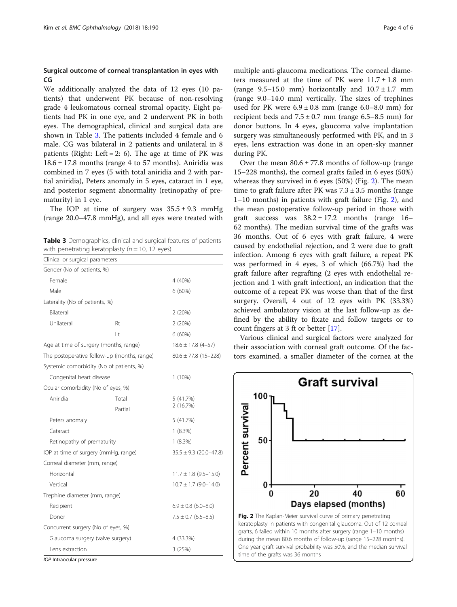## Surgical outcome of corneal transplantation in eyes with CG

We additionally analyzed the data of 12 eyes (10 patients) that underwent PK because of non-resolving grade 4 leukomatous corneal stromal opacity. Eight patients had PK in one eye, and 2 underwent PK in both eyes. The demographical, clinical and surgical data are shown in Table 3. The patients included 4 female and 6 male. CG was bilateral in 2 patients and unilateral in 8 patients (Right: Left = 2: 6). The age at time of PK was  $18.6 \pm 17.8$  months (range 4 to 57 months). Aniridia was combined in 7 eyes (5 with total aniridia and 2 with partial aniridia), Peters anomaly in 5 eyes, cataract in 1 eye, and posterior segment abnormality (retinopathy of prematurity) in 1 eye.

The IOP at time of surgery was  $35.5 \pm 9.3$  mmHg (range 20.0–47.8 mmHg), and all eyes were treated with

Table 3 Demographics, clinical and surgical features of patients with penetrating keratoplasty ( $n = 10$ , 12 eyes)

|                                             | penending neratopiasty (n<br>$\cdot \circ \cdot - \circ \cdot \circ \circ \cdot$ |                            |
|---------------------------------------------|----------------------------------------------------------------------------------|----------------------------|
| Clinical or surgical parameters             |                                                                                  |                            |
| Gender (No of patients, %)                  |                                                                                  |                            |
| Female                                      |                                                                                  | 4 (40%)                    |
| Male                                        |                                                                                  | $6(60\%)$                  |
| Laterality (No of patients, %)              |                                                                                  |                            |
| <b>Bilateral</b>                            |                                                                                  | 2(20%)                     |
| Unilateral                                  | Rt                                                                               | 2(20%)                     |
|                                             | Lt                                                                               | 6(60%)                     |
|                                             | Age at time of surgery (months, range)                                           | $18.6 \pm 17.8$ (4-57)     |
| The postoperative follow-up (months, range) |                                                                                  | $80.6 \pm 77.8$ (15-228)   |
|                                             | Systemic comorbidity (No of patients, %)                                         |                            |
| Congenital heart disease                    |                                                                                  | $1(10\%)$                  |
| Ocular comorbidity (No of eyes, %)          |                                                                                  |                            |
| Aniridia                                    | Total                                                                            | 5 (41.7%)                  |
|                                             | Partial                                                                          | 2(16.7%)                   |
| Peters anomaly                              |                                                                                  | 5 (41.7%)                  |
| Cataract                                    |                                                                                  | $1(8.3\%)$                 |
| Retinopathy of prematurity                  |                                                                                  | 1(8.3%)                    |
| IOP at time of surgery (mmHg, range)        |                                                                                  | $35.5 \pm 9.3$ (20.0-47.8) |
| Corneal diameter (mm, range)                |                                                                                  |                            |
| Horizontal                                  |                                                                                  | $11.7 \pm 1.8$ (9.5-15.0)  |
| Vertical                                    |                                                                                  | $10.7 \pm 1.7$ (9.0-14.0)  |
| Trephine diameter (mm, range)               |                                                                                  |                            |
| Recipient                                   |                                                                                  | $6.9 \pm 0.8$ (6.0-8.0)    |
| Donor                                       |                                                                                  | $7.5 \pm 0.7$ (6.5-8.5)    |
| Concurrent surgery (No of eyes, %)          |                                                                                  |                            |
| Glaucoma surgery (valve surgery)            |                                                                                  | 4 (33.3%)                  |
| Lens extraction                             |                                                                                  | 3 (25%)                    |

IOP Intraocular pressure

multiple anti-glaucoma medications. The corneal diameters measured at the time of PK were  $11.7 \pm 1.8$  mm (range  $9.5-15.0$  mm) horizontally and  $10.7 \pm 1.7$  mm (range 9.0–14.0 mm) vertically. The sizes of trephines used for PK were  $6.9 \pm 0.8$  mm (range  $6.0-8.0$  mm) for recipient beds and  $7.5 \pm 0.7$  mm (range 6.5–8.5 mm) for donor buttons. In 4 eyes, glaucoma valve implantation surgery was simultaneously performed with PK, and in 3 eyes, lens extraction was done in an open-sky manner during PK.

Over the mean  $80.6 \pm 77.8$  months of follow-up (range 15–228 months), the corneal grafts failed in 6 eyes (50%) whereas they survived in 6 eyes (50%) (Fig. 2). The mean time to graft failure after PK was  $7.3 \pm 3.5$  months (range 1–10 months) in patients with graft failure (Fig. 2), and the mean postoperative follow-up period in those with graft success was  $38.2 \pm 17.2$  months (range 16– 62 months). The median survival time of the grafts was 36 months. Out of 6 eyes with graft failure, 4 were caused by endothelial rejection, and 2 were due to graft infection. Among 6 eyes with graft failure, a repeat PK was performed in 4 eyes, 3 of which (66.7%) had the graft failure after regrafting (2 eyes with endothelial rejection and 1 with graft infection), an indication that the outcome of a repeat PK was worse than that of the first surgery. Overall, 4 out of 12 eyes with PK (33.3%) achieved ambulatory vision at the last follow-up as defined by the ability to fixate and follow targets or to count fingers at 3 ft or better [[17](#page-5-0)].

Various clinical and surgical factors were analyzed for their association with corneal graft outcome. Of the factors examined, a smaller diameter of the cornea at the

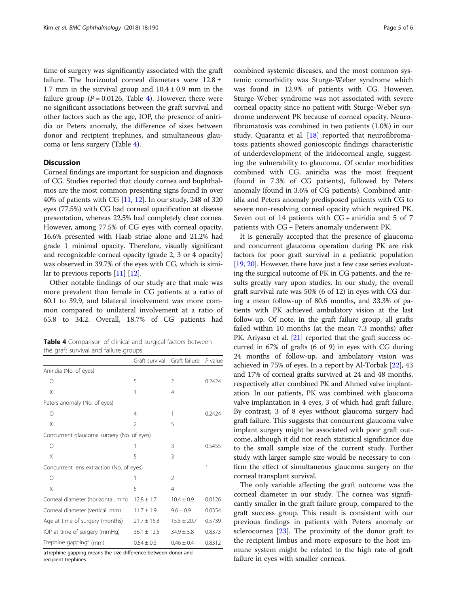time of surgery was significantly associated with the graft failure. The horizontal corneal diameters were 12.8 ± 1.7 mm in the survival group and  $10.4 \pm 0.9$  mm in the failure group ( $P = 0.0126$ , Table 4). However, there were no significant associations between the graft survival and other factors such as the age, IOP, the presence of aniridia or Peters anomaly, the difference of sizes between donor and recipient trephines, and simultaneous glaucoma or lens surgery (Table 4).

## **Discussion**

Corneal findings are important for suspicion and diagnosis of CG. Studies reported that cloudy cornea and buphthalmos are the most common presenting signs found in over 40% of patients with CG [\[11,](#page-5-0) [12](#page-5-0)]. In our study, 248 of 320 eyes (77.5%) with CG had corneal opacification at disease presentation, whereas 22.5% had completely clear cornea. However, among 77.5% of CG eyes with corneal opacity, 16.6% presented with Haab striae alone and 21.2% had grade 1 minimal opacity. Therefore, visually significant and recognizable corneal opacity (grade 2, 3 or 4 opacity) was observed in 39.7% of the eyes with CG, which is similar to previous reports [\[11\]](#page-5-0) [[12](#page-5-0)].

Other notable findings of our study are that male was more prevalent than female in CG patients at a ratio of 60.1 to 39.9, and bilateral involvement was more common compared to unilateral involvement at a ratio of 65.8 to 34.2. Overall, 18.7% of CG patients had

Table 4 Comparison of clinical and surgical factors between the graft survival and failure groups

|                                            | Graft survival  | Graft failure   | P value |
|--------------------------------------------|-----------------|-----------------|---------|
| Aniridia (No. of eyes)                     |                 |                 |         |
| Ω                                          | 5               | 2               | 0.2424  |
| X                                          | 1               | 4               |         |
| Peters anomaly (No. of eyes)               |                 |                 |         |
| $\bigcirc$                                 | 4               | 1               | 0.2424  |
| X                                          | $\mathfrak{D}$  | 5               |         |
| Concurrrent glaucoma surgery (No. of eyes) |                 |                 |         |
| $\bigcirc$                                 | 1               | 3               | 0.5455  |
| X                                          | 5               | 3               |         |
| Concurrrent lens extraction (No. of eyes)  |                 | 1               |         |
| $\bigcap$                                  | 1               | $\mathfrak{D}$  |         |
| X                                          | 5               | $\overline{4}$  |         |
| Corneal diameter (horizontal, mm)          | $12.8 \pm 1.7$  | $10.4 \pm 0.9$  | 0.0126  |
| Corneal diameter (vertical, mm)            | $11.7 \pm 1.9$  | $9.6 \pm 0.9$   | 0.0354  |
| Age at time of surgery (months)            | $21.7 \pm 15.8$ | $15.5 \pm 20.7$ | 0.5739  |
| IOP at time of surgery (mmHg)              | $36.1 \pm 12.5$ | $34.9 \pm 5.8$  | 0.8373  |
| Trephine gapping <sup>a</sup> (mm)         | $0.54 \pm 0.3$  | $0.46 \pm 0.4$  | 0.8312  |

aTrephine gapping means the size difference between donor and

recipient trephines

combined systemic diseases, and the most common systemic comorbidity was Sturge-Weber syndrome which was found in 12.9% of patients with CG. However, Sturge-Weber syndrome was not associated with severe corneal opacity since no patient with Sturge-Weber syndrome underwent PK because of corneal opacity. Neurofibromatosis was combined in two patients (1.0%) in our study. Quaranta et al. [\[18\]](#page-5-0) reported that neurofibromatosis patients showed gonioscopic findings characteristic of underdevelopment of the iridocorneal angle, suggesting the vulnerability to glaucoma. Of ocular morbidities combined with CG, aniridia was the most frequent (found in 7.3% of CG patients), followed by Peters anomaly (found in 3.6% of CG patients). Combined aniridia and Peters anomaly predisposed patients with CG to severe non-resolving corneal opacity which required PK. Seven out of 14 patients with CG + aniridia and 5 of 7 patients with CG + Peters anomaly underwent PK.

It is generally accepted that the presence of glaucoma and concurrent glaucoma operation during PK are risk factors for poor graft survival in a pediatric population [[19](#page-5-0), [20\]](#page-5-0). However, there have just a few case series evaluating the surgical outcome of PK in CG patients, and the results greatly vary upon studies. In our study, the overall graft survival rate was 50% (6 of 12) in eyes with CG during a mean follow-up of 80.6 months, and 33.3% of patients with PK achieved ambulatory vision at the last follow-up. Of note, in the graft failure group, all grafts failed within 10 months (at the mean 7.3 months) after PK. Ariyasu et al. [\[21\]](#page-5-0) reported that the graft success occurred in 67% of grafts (6 of 9) in eyes with CG during 24 months of follow-up, and ambulatory vision was achieved in 75% of eyes. In a report by Al-Torbak [\[22\]](#page-5-0), 43 and 17% of corneal grafts survived at 24 and 48 months, respectively after combined PK and Ahmed valve implantation. In our patients, PK was combined with glaucoma valve implantation in 4 eyes, 3 of which had graft failure. By contrast, 3 of 8 eyes without glaucoma surgery had graft failure. This suggests that concurrent glaucoma valve implant surgery might be associated with poor graft outcome, although it did not reach statistical significance due to the small sample size of the current study. Further study with larger sample size would be necessary to confirm the effect of simultaneous glaucoma surgery on the corneal transplant survival.

The only variable affecting the graft outcome was the corneal diameter in our study. The cornea was significantly smaller in the graft failure group, compared to the graft success group. This result is consistent with our previous findings in patients with Peters anomaly or sclerocornea [[23\]](#page-5-0). The proximity of the donor graft to the recipient limbus and more exposure to the host immune system might be related to the high rate of graft failure in eyes with smaller corneas.